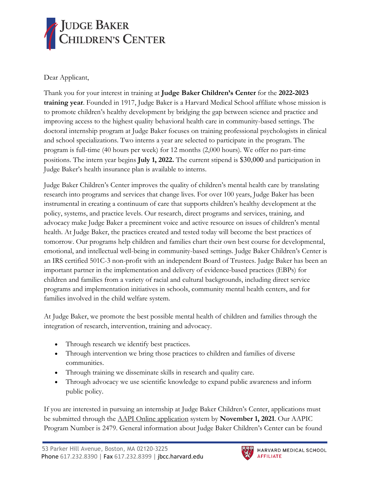

Dear Applicant,

Thank you for your interest in training at **Judge Baker Children's Center** for the **2022-2023 training year**. Founded in 1917, Judge Baker is a Harvard Medical School affiliate whose mission is to promote children's healthy development by bridging the gap between science and practice and improving access to the highest quality behavioral health care in community-based settings. The doctoral internship program at Judge Baker focuses on training professional psychologists in clinical and school specializations. Two interns a year are selected to participate in the program. The program is full-time (40 hours per week) for 12 months (2,000 hours). We offer no part-time positions. The intern year begins **July 1, 2022.** The current stipend is \$30,000 and participation in Judge Baker's health insurance plan is available to interns.

Judge Baker Children's Center improves the quality of children's mental health care by translating research into programs and services that change lives. For over 100 years, Judge Baker has been instrumental in creating a continuum of care that supports children's healthy development at the policy, systems, and practice levels. Our research, direct programs and services, training, and advocacy make Judge Baker a preeminent voice and active resource on issues of children's mental health. At Judge Baker, the practices created and tested today will become the best practices of tomorrow. Our programs help children and families chart their own best course for developmental, emotional, and intellectual well-being in community-based settings. Judge Baker Children's Center is an IRS certified 501C-3 non-profit with an independent Board of Trustees. Judge Baker has been an important partner in the implementation and delivery of evidence-based practices (EBPs) for children and families from a variety of racial and cultural backgrounds, including direct service programs and implementation initiatives in schools, community mental health centers, and for families involved in the child welfare system.

At Judge Baker, we promote the best possible mental health of children and families through the integration of research, intervention, training and advocacy.

- Through research we identify best practices.
- Through intervention we bring those practices to children and families of diverse communities.
- Through training we disseminate skills in research and quality care.
- Through advocacy we use scientific knowledge to expand public awareness and inform public policy.

If you are interested in pursuing an internship at Judge Baker Children's Center, applications must be submitted through the AAPI Online application system by **November 1, 2021**. Our AAPIC Program Number is 2479. General information about Judge Baker Children's Center can be found

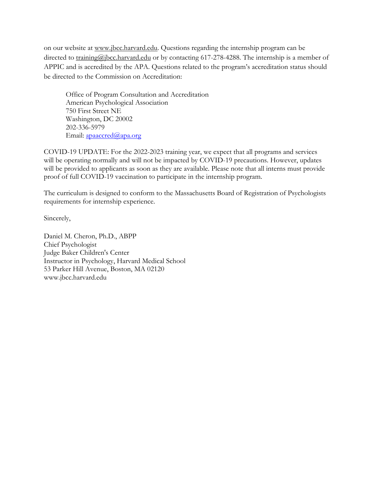on our website at www.jbcc.harvard.edu. Questions regarding the internship program can be directed to training@jbcc.harvard.edu or by contacting 617-278-4288. The internship is a member of APPIC and is accredited by the APA. Questions related to the program's accreditation status should be directed to the Commission on Accreditation:

Office of Program Consultation and Accreditation American Psychological Association 750 First Street NE Washington, DC 20002 202-336-5979 Email: apaaccred@apa.org

COVID-19 UPDATE: For the 2022-2023 training year, we expect that all programs and services will be operating normally and will not be impacted by COVID-19 precautions. However, updates will be provided to applicants as soon as they are available. Please note that all interns must provide proof of full COVID-19 vaccination to participate in the internship program.

The curriculum is designed to conform to the Massachusetts Board of Registration of Psychologists requirements for internship experience.

Sincerely,

Daniel M. Cheron, Ph.D., ABPP Chief Psychologist Judge Baker Children's Center Instructor in Psychology, Harvard Medical School 53 Parker Hill Avenue, Boston, MA 02120 www.jbcc.harvard.edu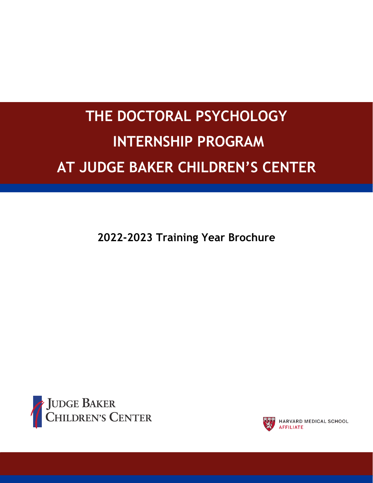# **THE DOCTORAL PSYCHOLOGY INTERNSHIP PROGRAM AT JUDGE BAKER CHILDREN'S CENTER**

**2022-2023 Training Year Brochure**





HARVARD MEDICAL SCHOOL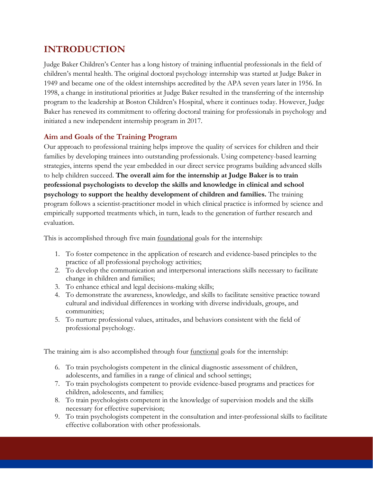# **INTRODUCTION**

Judge Baker Children's Center has a long history of training influential professionals in the field of children's mental health. The original doctoral psychology internship was started at Judge Baker in 1949 and became one of the oldest internships accredited by the APA seven years later in 1956. In 1998, a change in institutional priorities at Judge Baker resulted in the transferring of the internship program to the leadership at Boston Children's Hospital, where it continues today. However, Judge Baker has renewed its commitment to offering doctoral training for professionals in psychology and initiated a new independent internship program in 2017.

# **Aim and Goals of the Training Program**

Our approach to professional training helps improve the quality of services for children and their families by developing trainees into outstanding professionals. Using competency-based learning strategies, interns spend the year embedded in our direct service programs building advanced skills to help children succeed. **The overall aim for the internship at Judge Baker is to train professional psychologists to develop the skills and knowledge in clinical and school psychology to support the healthy development of children and families.** The training program follows a scientist-practitioner model in which clinical practice is informed by science and empirically supported treatments which, in turn, leads to the generation of further research and evaluation.

This is accomplished through five main foundational goals for the internship:

- 1. To foster competence in the application of research and evidence-based principles to the practice of all professional psychology activities;
- 2. To develop the communication and interpersonal interactions skills necessary to facilitate change in children and families;
- 3. To enhance ethical and legal decisions-making skills;
- 4. To demonstrate the awareness, knowledge, and skills to facilitate sensitive practice toward cultural and individual differences in working with diverse individuals, groups, and communities;
- 5. To nurture professional values, attitudes, and behaviors consistent with the field of professional psychology.

The training aim is also accomplished through four functional goals for the internship:

- 6. To train psychologists competent in the clinical diagnostic assessment of children, adolescents, and families in a range of clinical and school settings;
- 7. To train psychologists competent to provide evidence-based programs and practices for children, adolescents, and families;
- 8. To train psychologists competent in the knowledge of supervision models and the skills necessary for effective supervision;
- 9. To train psychologists competent in the consultation and inter-professional skills to facilitate effective collaboration with other professionals.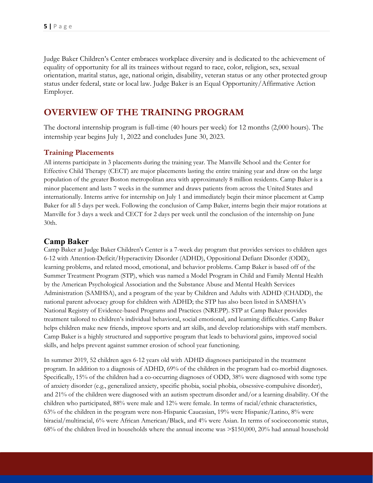Judge Baker Children's Center embraces workplace diversity and is dedicated to the achievement of equality of opportunity for all its trainees without regard to race, color, religion, sex, sexual orientation, marital status, age, national origin, disability, veteran status or any other protected group status under federal, state or local law. Judge Baker is an Equal Opportunity/Affirmative Action Employer.

# **OVERVIEW OF THE TRAINING PROGRAM**

The doctoral internship program is full-time (40 hours per week) for 12 months (2,000 hours). The internship year begins July 1, 2022 and concludes June 30, 2023.

#### **Training Placements**

All interns participate in 3 placements during the training year. The Manville School and the Center for Effective Child Therapy (CECT) are major placements lasting the entire training year and draw on the large population of the greater Boston metropolitan area with approximately 8 million residents. Camp Baker is a minor placement and lasts 7 weeks in the summer and draws patients from across the United States and internationally. Interns arrive for internship on July 1 and immediately begin their minor placement at Camp Baker for all 5 days per week. Following the conclusion of Camp Baker, interns begin their major rotations at Manville for 3 days a week and CECT for 2 days per week until the conclusion of the internship on June 30th.

#### **Camp Baker**

Camp Baker at Judge Baker Children's Center is a 7-week day program that provides services to children ages 6-12 with Attention-Deficit/Hyperactivity Disorder (ADHD), Oppositional Defiant Disorder (ODD), learning problems, and related mood, emotional, and behavior problems. Camp Baker is based off of the Summer Treatment Program (STP), which was named a Model Program in Child and Family Mental Health by the American Psychological Association and the Substance Abuse and Mental Health Services Administration (SAMHSA), and a program of the year by Children and Adults with ADHD (CHADD), the national parent advocacy group for children with ADHD; the STP has also been listed in SAMSHA's National Registry of Evidence-based Programs and Practices (NREPP). STP at Camp Baker provides treatment tailored to children's individual behavioral, social emotional, and learning difficulties. Camp Baker helps children make new friends, improve sports and art skills, and develop relationships with staff members. Camp Baker is a highly structured and supportive program that leads to behavioral gains, improved social skills, and helps prevent against summer erosion of school year functioning.

In summer 2019, 52 children ages 6-12 years old with ADHD diagnoses participated in the treatment program. In addition to a diagnosis of ADHD, 69% of the children in the program had co-morbid diagnoses. Specifically, 15% of the children had a co-occurring diagnoses of ODD, 38% were diagnosed with some type of anxiety disorder (e.g., generalized anxiety, specific phobia, social phobia, obsessive-compulsive disorder), and 21% of the children were diagnosed with an autism spectrum disorder and/or a learning disability. Of the children who participated, 88% were male and 12% were female. In terms of racial/ethnic characteristics, 63% of the children in the program were non-Hispanic Caucasian, 19% were Hispanic/Latino, 8% were biracial/multiracial, 6% were African American/Black, and 4% were Asian. In terms of socioeconomic status, 68% of the children lived in households where the annual income was >\$150,000, 20% had annual household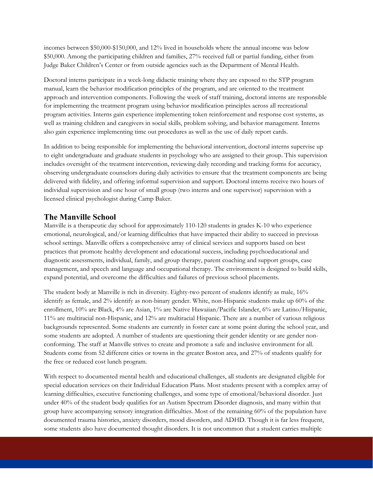incomes between \$50,000-\$150,000, and 12% lived in households where the annual income was below \$50,000. Among the participating children and families, 27% received full or partial funding, either from Judge Baker Children's Center or from outside agencies such as the Department of Mental Health.

Doctoral interns participate in a week-long didactic training where they are exposed to the STP program manual, learn the behavior modification principles of the program, and are oriented to the treatment approach and intervention components. Following the week of staff training, doctoral interns are responsible for implementing the treatment program using behavior modification principles across all recreational program activities. Interns gain experience implementing token reinforcement and response cost systems, as well as training children and caregivers in social skills, problem solving, and behavior management. Interns also gain experience implementing time out procedures as well as the use of daily report cards.

In addition to being responsible for implementing the behavioral intervention, doctoral interns supervise up to eight undergraduate and graduate students in psychology who are assigned to their group. This supervision includes oversight of the treatment intervention, reviewing daily recording and tracking forms for accuracy, observing undergraduate counselors during daily activities to ensure that the treatment components are being delivered with fidelity, and offering informal supervision and support. Doctoral interns receive two hours of individual supervision and one hour of small group (two interns and one supervisor) supervision with a licensed clinical psychologist during Camp Baker.

#### **The Manville School**

Manville is a therapeutic day school for approximately 110-120 students in grades K-10 who experience emotional, neurological, and/or learning difficulties that have impacted their ability to succeed in previous school settings. Manville offers a comprehensive array of clinical services and supports based on best practices that promote healthy development and educational success, including psychoeducational and diagnostic assessments, individual, family, and group therapy, parent coaching and support groups, case management, and speech and language and occupational therapy. The environment is designed to build skills, expand potential, and overcome the difficulties and failures of previous school placements.

The student body at Manville is rich in diversity. Eighty-two percent of students identify as male, 16% identify as female, and 2% identify as non-binary gender. White, non-Hispanic students make up 60% of the enrollment, 10% are Black, 4% are Asian, 1% are Native Hawaiian/Pacific Islander, 6% are Latino/Hispanic, 11% are multiracial non-Hispanic, and 12% are multiracial Hispanic. There are a number of various religious backgrounds represented. Some students are currently in foster care at some point during the school year, and some students are adopted. A number of students are questioning their gender identity or are gender nonconforming. The staff at Manville strives to create and promote a safe and inclusive environment for all. Students come from 52 different cities or towns in the greater Boston area, and 27% of students qualify for the free or reduced cost lunch program.

With respect to documented mental health and educational challenges, all students are designated eligible for special education services on their Individual Education Plans. Most students present with a complex array of learning difficulties, executive functioning challenges, and some type of emotional/behavioral disorder. Just under 40% of the student body qualifies for an Autism Spectrum Disorder diagnosis, and many within that group have accompanying sensory integration difficulties. Most of the remaining 60% of the population have documented trauma histories, anxiety disorders, mood disorders, and ADHD. Though it is far less frequent, some students also have documented thought disorders. It is not uncommon that a student carries multiple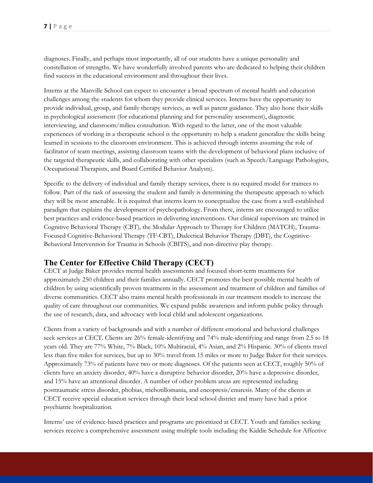diagnoses. Finally, and perhaps most importantly, all of our students have a unique personality and constellation of strengths. We have wonderfully involved parents who are dedicated to helping their children find success in the educational environment and throughout their lives.

Interns at the Manville School can expect to encounter a broad spectrum of mental health and education challenges among the students for whom they provide clinical services. Interns have the opportunity to provide individual, group, and family therapy services, as well as parent guidance. They also hone their skills in psychological assessment (for educational planning and for personality assessment), diagnostic interviewing, and classroom/milieu consultation. With regard to the latter, one of the most valuable experiences of working in a therapeutic school is the opportunity to help a student generalize the skills being learned in sessions to the classroom environment. This is achieved through interns assuming the role of facilitator of team meetings, assisting classroom teams with the development of behavioral plans inclusive of the targeted therapeutic skills, and collaborating with other specialists (such as Speech/Language Pathologists, Occupational Therapists, and Board Certified Behavior Analysts).

Specific to the delivery of individual and family therapy services, there is no required model for trainees to follow. Part of the task of assessing the student and family is determining the therapeutic approach to which they will be most amenable. It is required that interns learn to conceptualize the case from a well-established paradigm that explains the development of psychopathology. From there, interns are encouraged to utilize best practices and evidence-based practices in delivering interventions. Our clinical supervisors are trained in Cognitive Behavioral Therapy (CBT), the Modular Approach to Therapy for Children (MATCH), Trauma-Focused Cognitive-Behavioral Therapy (TF-CBT), Dialectical Behavior Therapy (DBT), the Cognitive-Behavioral Intervention for Trauma in Schools (CBITS), and non-directive play therapy.

## **The Center for Effective Child Therapy (CECT)**

CECT at Judge Baker provides mental health assessments and focused short-term treatments for approximately 250 children and their families annually. CECT promotes the best possible mental health of children by using scientifically proven treatments in the assessment and treatment of children and families of diverse communities. CECT also trains mental health professionals in our treatment models to increase the quality of care throughout our communities. We expand public awareness and inform public policy through the use of research, data, and advocacy with local child and adolescent organizations.

Clients from a variety of backgrounds and with a number of different emotional and behavioral challenges seek services at CECT. Clients are 26% female-identifying and 74% male-identifying and range from 2.5 to 18 years old. They are 77% White, 7% Black, 10% Multiracial, 4% Asian, and 2% Hispanic. 30% of clients travel less than five miles for services, but up to 30% travel from 15 miles or more to Judge Baker for their services. Approximately 73% of patients have two or more diagnoses. Of the patients seen at CECT, roughly 50% of clients have an anxiety disorder, 40% have a disruptive behavior disorder, 20% have a depressive disorder, and 15% have an attentional disorder. A number of other problem areas are represented including posttraumatic stress disorder, phobias, trichotillomania, and encopresis/enuresis. Many of the clients at CECT receive special education services through their local school district and many have had a prior psychiatric hospitalization.

Interns' use of evidence-based practices and programs are prioritized at CECT. Youth and families seeking services receive a comprehensive assessment using multiple tools including the Kiddie Schedule for Affective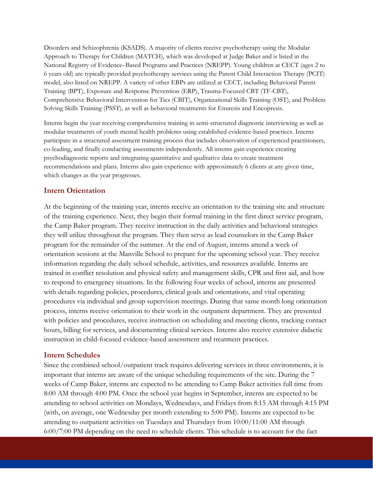Disorders and Schizophrenia (KSADS). A majority of clients receive psychotherapy using the Modular Approach to Therapy for Children (MATCH), which was developed at Judge Baker and is listed in the National Registry of Evidence–Based Programs and Practices (NREPP). Young children at CECT (ages 2 to 6 years old) are typically provided psychotherapy services using the Parent Child Interaction Therapy (PCIT) model, also listed on NREPP. A variety of other EBPs are utilized at CECT, including Behavioral Parent Training (BPT), Exposure and Response Prevention (ERP), Trauma-Focused CBT (TF-CBT), Comprehensive Behavioral Intervention for Tics (CBIT), Organizational Skills Training (OST), and Problem Solving Skills Training (PSST), as well as behavioral treatments for Enuresis and Encopresis.

Interns begin the year receiving comprehensive training in semi-structured diagnostic interviewing as well as modular treatments of youth mental health problems using established evidence-based practices. Interns participate in a structured assessment training process that includes observation of experienced practitioners, co-leading, and finally conducting assessments independently. All interns gain experience creating psychodiagnostic reports and integrating quantitative and qualitative data to create treatment recommendations and plans. Interns also gain experience with approximately 6 clients at any given time, which changes as the year progresses.

#### **Intern Orientation**

At the beginning of the training year, interns receive an orientation to the training site and structure of the training experience. Next, they begin their formal training in the first direct service program, the Camp Baker program. They receive instruction in the daily activities and behavioral strategies they will utilize throughout the program. They then serve as lead counselors in the Camp Baker program for the remainder of the summer. At the end of August, interns attend a week of orientation sessions at the Manville School to prepare for the upcoming school year. They receive information regarding the daily school schedule, activities, and resources available. Interns are trained in conflict resolution and physical safety and management skills, CPR and first aid, and how to respond to emergency situations. In the following four weeks of school, interns are presented with details regarding policies, procedures, clinical goals and orientations, and vital operating procedures via individual and group supervision meetings. During that same month long orientation process, interns receive orientation to their work in the outpatient department. They are presented with policies and procedures, receive instruction on scheduling and meeting clients, tracking contact hours, billing for services, and documenting clinical services. Interns also receive extensive didactic instruction in child-focused evidence-based assessment and treatment practices.

#### **Intern Schedules**

Since the combined school/outpatient track requires delivering services in three environments, it is important that interns are aware of the unique scheduling requirements of the site. During the 7 weeks of Camp Baker, interns are expected to be attending to Camp Baker activities full time from 8:00 AM through 4:00 PM. Once the school year begins in September, interns are expected to be attending to school activities on Mondays, Wednesdays, and Fridays from 8:15 AM through 4:15 PM (with, on average, one Wednesday per month extending to 5:00 PM). Interns are expected to be attending to outpatient activities on Tuesdays and Thursdays from 10:00/11:00 AM through 6:00/7:00 PM depending on the need to schedule clients. This schedule is to account for the fact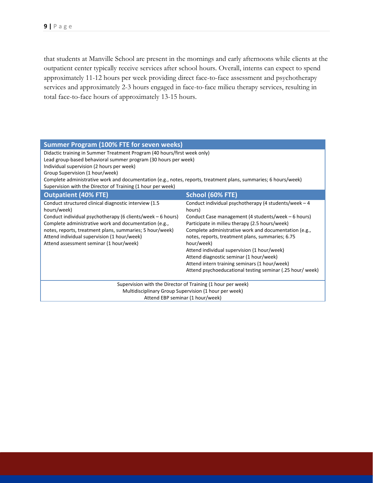that students at Manville School are present in the mornings and early afternoons while clients at the outpatient center typically receive services after school hours. Overall, interns can expect to spend approximately 11-12 hours per week providing direct face-to-face assessment and psychotherapy services and approximately 2-3 hours engaged in face-to-face milieu therapy services, resulting in total face-to-face hours of approximately 13-15 hours.

| <b>Summer Program (100% FTE for seven weeks)</b>                                                                                                                                                                                                                                                                                                                                                             |                                                                                                                                                                                                                                                                                                                                                                                                                                                                                                             |  |  |  |  |  |
|--------------------------------------------------------------------------------------------------------------------------------------------------------------------------------------------------------------------------------------------------------------------------------------------------------------------------------------------------------------------------------------------------------------|-------------------------------------------------------------------------------------------------------------------------------------------------------------------------------------------------------------------------------------------------------------------------------------------------------------------------------------------------------------------------------------------------------------------------------------------------------------------------------------------------------------|--|--|--|--|--|
| Didactic training in Summer Treatment Program (40 hours/first week only)<br>Lead group-based behavioral summer program (30 hours per week)<br>Individual supervision (2 hours per week)<br>Group Supervision (1 hour/week)<br>Complete administrative work and documentation (e.g., notes, reports, treatment plans, summaries; 6 hours/week)<br>Supervision with the Director of Training (1 hour per week) |                                                                                                                                                                                                                                                                                                                                                                                                                                                                                                             |  |  |  |  |  |
| <b>Outpatient (40% FTE)</b>                                                                                                                                                                                                                                                                                                                                                                                  | School (60% FTE)                                                                                                                                                                                                                                                                                                                                                                                                                                                                                            |  |  |  |  |  |
| Conduct structured clinical diagnostic interview (1.5)<br>hours/week)<br>Conduct individual psychotherapy (6 clients/week $-6$ hours)<br>Complete administrative work and documentation (e.g.,<br>notes, reports, treatment plans, summaries; 5 hour/week)<br>Attend individual supervision (1 hour/week)<br>Attend assessment seminar (1 hour/week)                                                         | Conduct individual psychotherapy (4 students/week - 4<br>hours)<br>Conduct Case management (4 students/week – 6 hours)<br>Participate in milieu therapy (2.5 hours/week)<br>Complete administrative work and documentation (e.g.,<br>notes, reports, treatment plans, summaries; 6.75<br>hour/week)<br>Attend individual supervision (1 hour/week)<br>Attend diagnostic seminar (1 hour/week)<br>Attend intern training seminars (1 hour/week)<br>Attend psychoeducational testing seminar (.25 hour/ week) |  |  |  |  |  |
| Supervision with the Director of Training (1 hour per week)                                                                                                                                                                                                                                                                                                                                                  |                                                                                                                                                                                                                                                                                                                                                                                                                                                                                                             |  |  |  |  |  |
| Multidisciplinary Group Supervision (1 hour per week)                                                                                                                                                                                                                                                                                                                                                        |                                                                                                                                                                                                                                                                                                                                                                                                                                                                                                             |  |  |  |  |  |
| Attend EBP seminar (1 hour/week)                                                                                                                                                                                                                                                                                                                                                                             |                                                                                                                                                                                                                                                                                                                                                                                                                                                                                                             |  |  |  |  |  |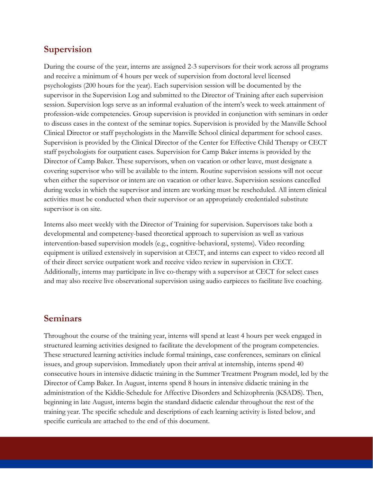# **Supervision**

During the course of the year, interns are assigned 2-3 supervisors for their work across all programs and receive a minimum of 4 hours per week of supervision from doctoral level licensed psychologists (200 hours for the year). Each supervision session will be documented by the supervisor in the Supervision Log and submitted to the Director of Training after each supervision session. Supervision logs serve as an informal evaluation of the intern's week to week attainment of profession-wide competencies. Group supervision is provided in conjunction with seminars in order to discuss cases in the context of the seminar topics. Supervision is provided by the Manville School Clinical Director or staff psychologists in the Manville School clinical department for school cases. Supervision is provided by the Clinical Director of the Center for Effective Child Therapy or CECT staff psychologists for outpatient cases. Supervision for Camp Baker interns is provided by the Director of Camp Baker. These supervisors, when on vacation or other leave, must designate a covering supervisor who will be available to the intern. Routine supervision sessions will not occur when either the supervisor or intern are on vacation or other leave. Supervision sessions cancelled during weeks in which the supervisor and intern are working must be rescheduled. All intern clinical activities must be conducted when their supervisor or an appropriately credentialed substitute supervisor is on site.

Interns also meet weekly with the Director of Training for supervision. Supervisors take both a developmental and competency-based theoretical approach to supervision as well as various intervention-based supervision models (e.g., cognitive-behavioral, systems). Video recording equipment is utilized extensively in supervision at CECT, and interns can expect to video record all of their direct service outpatient work and receive video review in supervision in CECT. Additionally, interns may participate in live co-therapy with a supervisor at CECT for select cases and may also receive live observational supervision using audio earpieces to facilitate live coaching.

# **Seminars**

Throughout the course of the training year, interns will spend at least 4 hours per week engaged in structured learning activities designed to facilitate the development of the program competencies. These structured learning activities include formal trainings, case conferences, seminars on clinical issues, and group supervision. Immediately upon their arrival at internship, interns spend 40 consecutive hours in intensive didactic training in the Summer Treatment Program model, led by the Director of Camp Baker. In August, interns spend 8 hours in intensive didactic training in the administration of the Kiddie-Schedule for Affective Disorders and Schizophrenia (KSADS). Then, beginning in late August, interns begin the standard didactic calendar throughout the rest of the training year. The specific schedule and descriptions of each learning activity is listed below, and specific curricula are attached to the end of this document.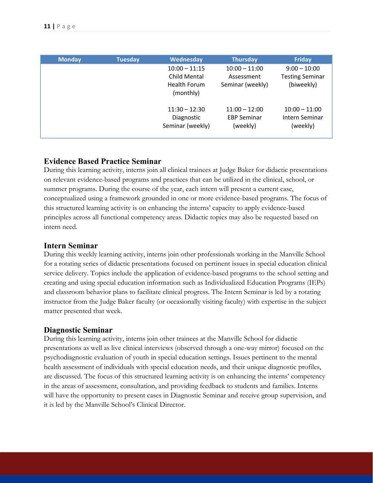| <b>Monday</b> | <b>Tuesday</b> | Wednesday           | <b>Thursday</b>    | <b>Friday</b>          |
|---------------|----------------|---------------------|--------------------|------------------------|
|               |                | $10:00 - 11:15$     | $10:00 - 11:00$    | $9:00 - 10:00$         |
|               |                | Child Mental        | Assessment         | <b>Testing Seminar</b> |
|               |                | <b>Health Forum</b> | Seminar (weekly)   | (biweekly)             |
|               |                | (monthly)           |                    |                        |
|               |                | $11:30 - 12:30$     | $11:00 - 12:00$    | $10:00 - 11:00$        |
|               |                | Diagnostic          | <b>EBP Seminar</b> | Intern Seminar         |
|               |                | Seminar (weekly)    | (weekly)           | (weekly)               |
|               |                |                     |                    |                        |

#### **Evidence Based Practice Seminar**

During this learning activity, interns join all clinical trainees at Judge Baker for didactic presentations on relevant evidence-based programs and practices that can be utilized in the clinical, school, or summer programs. During the course of the year, each intern will present a current case, conceptualized using a framework grounded in one or more evidence-based programs. The focus of this structured learning activity is on enhancing the interns' capacity to apply evidence-based principles across all functional competency areas. Didactic topics may also be requested based on intern need.

#### **Intern Seminar**

During this weekly learning activity, interns join other professionals working in the Manville School for a rotating series of didactic presentations focused on pertinent issues in special education clinical service delivery. Topics include the application of evidence-based programs to the school setting and creating and using special education information such as Individualized Education Programs (IEPs) and classroom behavior plans to facilitate clinical progress. The Intern Seminar is led by a rotating instructor from the Judge Baker faculty (or occasionally visiting faculty) with expertise in the subject matter presented that week.

#### **Diagnostic Seminar**

During this learning activity, interns join other trainees at the Manville School for didactic presentations as well as live clinical interviews (observed through a one-way mirror) focused on the psychodiagnostic evaluation of youth in special education settings. Issues pertinent to the mental health assessment of individuals with special education needs, and their unique diagnostic profiles, are discussed. The focus of this structured learning activity is on enhancing the interns' competency in the areas of assessment, consultation, and providing feedback to students and families. Interns will have the opportunity to present cases in Diagnostic Seminar and receive group supervision, and it is led by the Manville School's Clinical Director.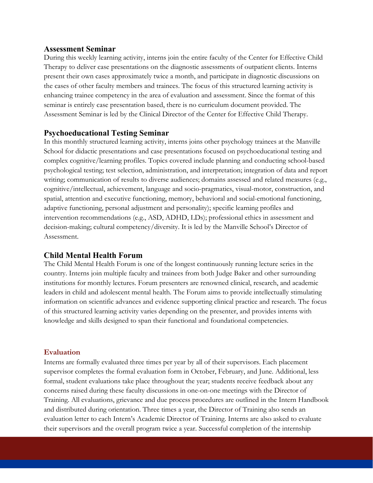#### **Assessment Seminar**

During this weekly learning activity, interns join the entire faculty of the Center for Effective Child Therapy to deliver case presentations on the diagnostic assessments of outpatient clients. Interns present their own cases approximately twice a month, and participate in diagnostic discussions on the cases of other faculty members and trainees. The focus of this structured learning activity is enhancing trainee competency in the area of evaluation and assessment. Since the format of this seminar is entirely case presentation based, there is no curriculum document provided. The Assessment Seminar is led by the Clinical Director of the Center for Effective Child Therapy.

#### **Psychoeducational Testing Seminar**

In this monthly structured learning activity, interns joins other psychology trainees at the Manville School for didactic presentations and case presentations focused on psychoeducational testing and complex cognitive/learning profiles. Topics covered include planning and conducting school-based psychological testing; test selection, administration, and interpretation; integration of data and report writing; communication of results to diverse audiences; domains assessed and related measures (e.g., cognitive/intellectual, achievement, language and socio-pragmatics, visual-motor, construction, and spatial, attention and executive functioning, memory, behavioral and social-emotional functioning, adaptive functioning, personal adjustment and personality); specific learning profiles and intervention recommendations (e.g., ASD, ADHD, LDs); professional ethics in assessment and decision-making; cultural competency/diversity. It is led by the Manville School's Director of Assessment.

#### **Child Mental Health Forum**

The Child Mental Health Forum is one of the longest continuously running lecture series in the country. Interns join multiple faculty and trainees from both Judge Baker and other surrounding institutions for monthly lectures. Forum presenters are renowned clinical, research, and academic leaders in child and adolescent mental health. The Forum aims to provide intellectually stimulating information on scientific advances and evidence supporting clinical practice and research. The focus of this structured learning activity varies depending on the presenter, and provides interns with knowledge and skills designed to span their functional and foundational competencies.

#### **Evaluation**

Interns are formally evaluated three times per year by all of their supervisors. Each placement supervisor completes the formal evaluation form in October, February, and June. Additional, less formal, student evaluations take place throughout the year; students receive feedback about any concerns raised during these faculty discussions in one-on-one meetings with the Director of Training. All evaluations, grievance and due process procedures are outlined in the Intern Handbook and distributed during orientation. Three times a year, the Director of Training also sends an evaluation letter to each Intern's Academic Director of Training. Interns are also asked to evaluate their supervisors and the overall program twice a year. Successful completion of the internship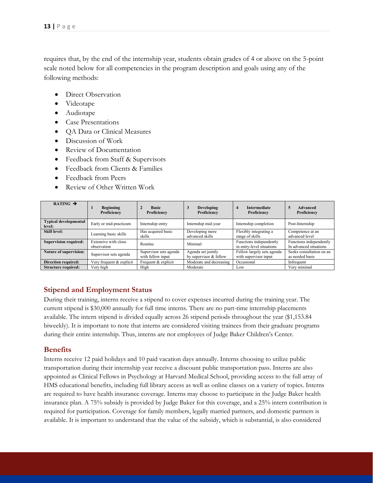requires that, by the end of the internship year, students obtain grades of 4 or above on the 5-point scale noted below for all competencies in the program description and goals using any of the following methods:

- Direct Observation
- Videotape
- Audiotape
- Case Presentations
- QA Data or Clinical Measures
- Discussion of Work
- Review of Documentation
- Feedback from Staff & Supervisors
- Feedback from Clients & Families
- Feedback from Peers
- Review of Other Written Work

| RATING $\rightarrow$                   | <b>Beginning</b><br>Proficiency     | <b>Basic</b><br>Proficiency                 | <b>Developing</b><br>Proficiency             | <b>Intermediate</b><br>4<br>Proficiency              | Advanced<br>Proficiency                           |
|----------------------------------------|-------------------------------------|---------------------------------------------|----------------------------------------------|------------------------------------------------------|---------------------------------------------------|
| <b>Typical developmental</b><br>level: | Early or mid-practicum              | Internship entry                            | Internship mid-year                          | Internship completion                                | Post-Internship                                   |
| <b>Skill level:</b>                    | Learning basic skills               | Has acquired basic<br>skills                | Developing more<br>advanced skills           | Flexibly integrating a<br>range of skills            | Competence at an<br>advanced level                |
| <b>Supervision required:</b>           | Extensive with close<br>observation | Routine                                     | Minimal                                      | Functions independently<br>in entry-level situations | Functions independently<br>In advanced situations |
| <b>Nature of supervision:</b>          | Supervisor sets agenda              | Supervisor sets agenda<br>with fellow input | Agenda set jointly<br>by supervisor & fellow | Fellow largely sets agenda<br>with supervisor input  | Seeks consultation on an<br>as needed basis       |
| <b>Direction required:</b>             | Very frequent & explicit            | Frequent & explicit                         | Moderate and decreasing                      | Occasional                                           | Infrequent                                        |
| Structure required:                    | Very high                           | High                                        | Moderate                                     | Low                                                  | Very minimal                                      |

#### **Stipend and Employment Status**

During their training, interns receive a stipend to cover expenses incurred during the training year. The current stipend is \$30,000 annually for full time interns. There are no part-time internship placements available. The intern stipend is divided equally across 26 stipend periods throughout the year (\$1,153.84 biweekly). It is important to note that interns are considered visiting trainees from their graduate programs during their entire internship. Thus, interns are not employees of Judge Baker Children's Center.

#### **Benefits**

Interns receive 12 paid holidays and 10 paid vacation days annually. Interns choosing to utilize public transportation during their internship year receive a discount public transportation pass. Interns are also appointed as Clinical Fellows in Psychology at Harvard Medical School, providing access to the full array of HMS educational benefits, including full library access as well as online classes on a variety of topics. Interns are required to have health insurance coverage. Interns may choose to participate in the Judge Baker health insurance plan. A 75% subsidy is provided by Judge Baker for this coverage, and a 25% intern contribution is required for participation. Coverage for family members, legally married partners, and domestic partners is available. It is important to understand that the value of the subsidy, which is substantial, is also considered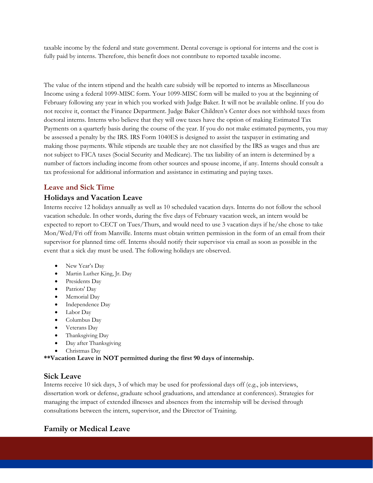taxable income by the federal and state government. Dental coverage is optional for interns and the cost is fully paid by interns. Therefore, this benefit does not contribute to reported taxable income.

The value of the intern stipend and the health care subsidy will be reported to interns as Miscellaneous Income using a federal 1099-MISC form. Your 1099-MISC form will be mailed to you at the beginning of February following any year in which you worked with Judge Baker. It will not be available online. If you do not receive it, contact the Finance Department. Judge Baker Children's Center does not withhold taxes from doctoral interns. Interns who believe that they will owe taxes have the option of making Estimated Tax Payments on a quarterly basis during the course of the year. If you do not make estimated payments, you may be assessed a penalty by the IRS. IRS Form 1040ES is designed to assist the taxpayer in estimating and making those payments. While stipends are taxable they are not classified by the IRS as wages and thus are not subject to FICA taxes (Social Security and Medicare). The tax liability of an intern is determined by a number of factors including income from other sources and spouse income, if any. Interns should consult a tax professional for additional information and assistance in estimating and paying taxes.

#### **Leave and Sick Time**

#### **Holidays and Vacation Leave**

Interns receive 12 holidays annually as well as 10 scheduled vacation days. Interns do not follow the school vacation schedule. In other words, during the five days of February vacation week, an intern would be expected to report to CECT on Tues/Thurs, and would need to use 3 vacation days if he/she chose to take Mon/Wed/Fri off from Manville. Interns must obtain written permission in the form of an email from their supervisor for planned time off. Interns should notify their supervisor via email as soon as possible in the event that a sick day must be used. The following holidays are observed.

- New Year's Day
- Martin Luther King, Jr. Day
- Presidents Day
- Patriots' Day
- Memorial Day
- Independence Day
- Labor Day
- Columbus Day
- Veterans Day
- Thanksgiving Day
- Day after Thanksgiving
- Christmas Day

**\*\*Vacation Leave in NOT permitted during the first 90 days of internship.** 

#### **Sick Leave**

Interns receive 10 sick days, 3 of which may be used for professional days off (e.g., job interviews, dissertation work or defense, graduate school graduations, and attendance at conferences). Strategies for managing the impact of extended illnesses and absences from the internship will be devised through consultations between the intern, supervisor, and the Director of Training.

## **Family or Medical Leave**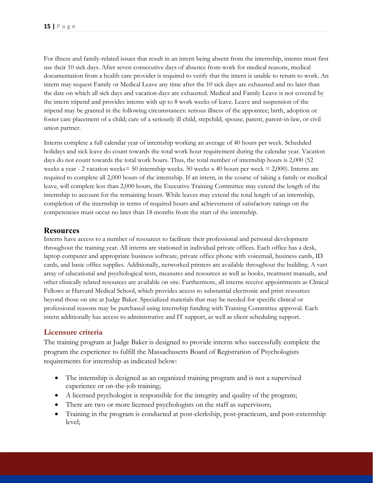For illness and family-related issues that result in an intern being absent from the internship, interns must first use their 10 sick days. After seven consecutive days of absence from work for medical reasons, medical documentation from a health care provider is required to verify that the intern is unable to return to work. An intern may request Family or Medical Leave any time after the 10 sick days are exhausted and no later than the date on which all sick days and vacation days are exhausted. Medical and Family Leave is not covered by the intern stipend and provides interns with up to 8 work weeks of leave. Leave and suspension of the stipend may be granted in the following circumstances: serious illness of the appointee; birth, adoption or foster care placement of a child; care of a seriously ill child, stepchild, spouse, parent, parent-in-law, or civil union partner.

Interns complete a full calendar year of internship working an average of 40 hours per week. Scheduled holidays and sick leave do count towards the total work hour requirement during the calendar year. Vacation days do not count towards the total work hours. Thus, the total number of internship hours is 2,000 (52 weeks a year - 2 vacation weeks = 50 internship weeks. 50 weeks x 40 hours per week =  $2,000$ ). Interns are required to complete all 2,000 hours of the internship. If an intern, in the course of taking a family or medical leave, will complete less than 2,000 hours, the Executive Training Committee may extend the length of the internship to account for the remaining hours. While leaves may extend the total length of an internship, completion of the internship in terms of required hours and achievement of satisfactory ratings on the competencies must occur no later than 18 months from the start of the internship.

#### **Resources**

Interns have access to a number of resources to facilitate their professional and personal development throughout the training year. All interns are stationed in individual private offices. Each office has a desk, laptop computer and appropriate business software, private office phone with voicemail, business cards, ID cards, and basic office supplies. Additionally, networked printers are available throughout the building. A vast array of educational and psychological tests, measures and resources as well as books, treatment manuals, and other clinically related resources are available on site. Furthermore, all interns receive appointments as Clinical Fellows at Harvard Medical School, which provides access to substantial electronic and print resources beyond those on site at Judge Baker. Specialized materials that may be needed for specific clinical or professional reasons may be purchased using internship funding with Training Committee approval. Each intern additionally has access to administrative and IT support, as well as client scheduling support.

#### **Licensure criteria**

The training program at Judge Baker is designed to provide interns who successfully complete the program the experience to fulfill the Massachusetts Board of Registration of Psychologists requirements for internship as indicated below:

- The internship is designed as an organized training program and is not a supervised experience or on-the-job training;
- A licensed psychologist is responsible for the integrity and quality of the program;
- There are two or more licensed psychologists on the staff as supervisors;
- Training in the program is conducted at post-clerkship, post-practicum, and post-externship level;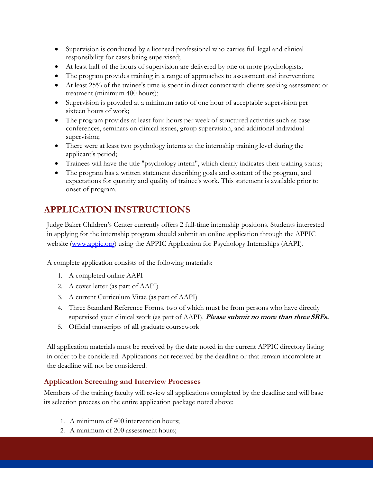- Supervision is conducted by a licensed professional who carries full legal and clinical responsibility for cases being supervised;
- At least half of the hours of supervision are delivered by one or more psychologists;
- The program provides training in a range of approaches to assessment and intervention;
- At least 25% of the trainee's time is spent in direct contact with clients seeking assessment or treatment (minimum 400 hours);
- Supervision is provided at a minimum ratio of one hour of acceptable supervision per sixteen hours of work;
- The program provides at least four hours per week of structured activities such as case conferences, seminars on clinical issues, group supervision, and additional individual supervision;
- There were at least two psychology interns at the internship training level during the applicant's period;
- Trainees will have the title "psychology intern", which clearly indicates their training status;
- The program has a written statement describing goals and content of the program, and expectations for quantity and quality of trainee's work. This statement is available prior to onset of program.

# **APPLICATION INSTRUCTIONS**

Judge Baker Children's Center currently offers 2 full-time internship positions. Students interested in applying for the internship program should submit an online application through the APPIC website (www.appic.org) using the APPIC Application for Psychology Internships (AAPI).

A complete application consists of the following materials:

- 1. A completed online AAPI
- 2. A cover letter (as part of AAPI)
- 3. A current Curriculum Vitae (as part of AAPI)
- 4. Three Standard Reference Forms, two of which must be from persons who have directly supervised your clinical work (as part of AAPI). **Please submit no more than three SRFs.**
- 5. Official transcripts of **all** graduate coursework

All application materials must be received by the date noted in the current APPIC directory listing in order to be considered. Applications not received by the deadline or that remain incomplete at the deadline will not be considered.

## **Application Screening and Interview Processes**

Members of the training faculty will review all applications completed by the deadline and will base its selection process on the entire application package noted above:

- 1. A minimum of 400 intervention hours;
- 2. A minimum of 200 assessment hours;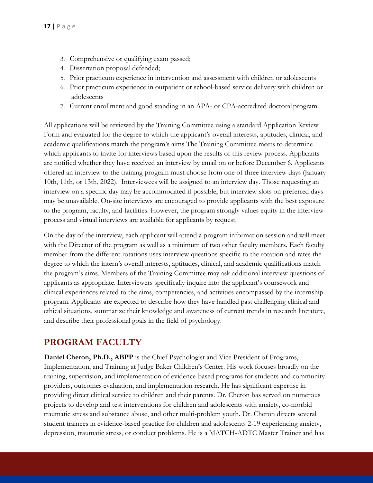- 3. Comprehensive or qualifying exam passed;
- 4. Dissertation proposal defended;
- 5. Prior practicum experience in intervention and assessment with children or adolescents
- 6. Prior practicum experience in outpatient or school-based service delivery with children or adolescents
- 7. Current enrollment and good standing in an APA- or CPA-accredited doctoral program.

All applications will be reviewed by the Training Committee using a standard Application Review Form and evaluated for the degree to which the applicant's overall interests, aptitudes, clinical, and academic qualifications match the program's aims The Training Committee meets to determine which applicants to invite for interviews based upon the results of this review process. Applicants are notified whether they have received an interview by email on or before December 6. Applicants offered an interview to the training program must choose from one of three interview days (January 10th, 11th, or 13th, 2022). Interviewees will be assigned to an interview day. Those requesting an interview on a specific day may be accommodated if possible, but interview slots on preferred days may be unavailable. On-site interviews are encouraged to provide applicants with the best exposure to the program, faculty, and facilities. However, the program strongly values equity in the interview process and virtual interviews are available for applicants by request.

On the day of the interview, each applicant will attend a program information session and will meet with the Director of the program as well as a minimum of two other faculty members. Each faculty member from the different rotations uses interview questions specific to the rotation and rates the degree to which the intern's overall interests, aptitudes, clinical, and academic qualifications match the program's aims. Members of the Training Committee may ask additional interview questions of applicants as appropriate. Interviewers specifically inquire into the applicant's coursework and clinical experiences related to the aims, competencies, and activities encompassed by the internship program. Applicants are expected to describe how they have handled past challenging clinical and ethical situations, summarize their knowledge and awareness of current trends in research literature, and describe their professional goals in the field of psychology.

# **PROGRAM FACULTY**

**Daniel Cheron, Ph.D., ABPP** is the Chief Psychologist and Vice President of Programs, Implementation, and Training at Judge Baker Children's Center. His work focuses broadly on the training, supervision, and implementation of evidence-based programs for students and community providers, outcomes evaluation, and implementation research. He has significant expertise in providing direct clinical service to children and their parents. Dr. Cheron has served on numerous projects to develop and test interventions for children and adolescents with anxiety, co-morbid traumatic stress and substance abuse, and other multi-problem youth. Dr. Cheron directs several student trainees in evidence-based practice for children and adolescents 2-19 experiencing anxiety, depression, traumatic stress, or conduct problems. He is a MATCH-ADTC Master Trainer and has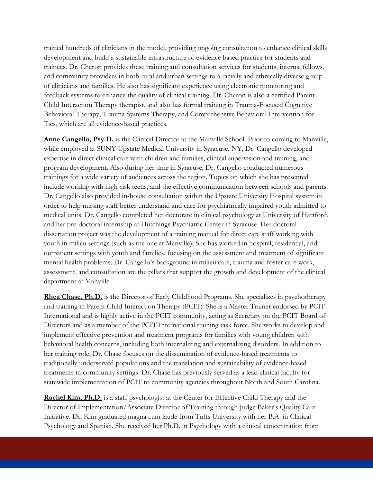trained hundreds of clinicians in the model, providing ongoing consultation to enhance clinical skills development and build a sustainable infrastructure of evidence based practice for students and trainees. Dr. Cheron provides these training and consultation services for students, interns, fellows, and community providers in both rural and urban settings to a racially and ethnically diverse group of clinicians and families. He also has significant experience using electronic monitoring and feedback systems to enhance the quality of clinical training. Dr. Cheron is also a certified Parent-Child Interaction Therapy therapist, and also has formal training in Trauma-Focused Cognitive Behavioral Therapy, Trauma Systems Therapy, and Comprehensive Behavioral Intervention for Tics, which are all evidence-based practices.

**Anne Cangello, Psy.D.** is the Clinical Director at the Manville School. Prior to coming to Manville, while employed at SUNY Upstate Medical University in Syracuse, NY, Dr. Cangello developed expertise in direct clinical care with children and families, clinical supervision and training, and program development. Also during her time in Syracuse, Dr. Cangello conducted numerous trainings for a wide variety of audiences across the region. Topics on which she has presented include working with high-risk teens, and the effective communication between schools and parents. Dr. Cangello also provided in-house consultation within the Upstate University Hospital system in order to help nursing staff better understand and care for psychiatrically impaired youth admitted to medical units. Dr. Cangello completed her doctorate in clinical psychology at University of Hartford, and her pre-doctoral internship at Hutchings Psychiatric Center in Syracuse. Her doctoral dissertation project was the development of a training manual for direct care staff working with youth in milieu settings (such as the one at Manville). She has worked in hospital, residential, and outpatient settings with youth and families, focusing on the assessment and treatment of significant mental health problems. Dr. Cangello's background in milieu care, trauma and foster care work, assessment, and consultation are the pillars that support the growth and development of the clinical department at Manville.

**Rhea Chase, Ph.D.** is the Director of Early Childhood Programs. She specializes in psychotherapy and training in Parent Child Interaction Therapy (PCIT). She is a Master Trainer endorsed by PCIT International and is highly active in the PCIT community, acting as Secretary on the PCIT Board of Directors and as a member of the PCIT International training task force. She works to develop and implement effective prevention and treatment programs for families with young children with behavioral health concerns, including both internalizing and externalizing disorders. In addition to her training role, Dr. Chase focuses on the dissemination of evidence-based treatments to traditionally underserved populations and the translation and sustainability of evidence-based treatments in community settings. Dr. Chase has previously served as a lead clinical faculty for statewide implementation of PCIT to community agencies throughout North and South Carolina.

**Rachel Kim, Ph.D.** is a staff psychologist at the Center for Effective Child Therapy and the Director of Implementation/Associate Director of Training through Judge Baker's Quality Care Initiative. Dr. Kim graduated magna cum laude from Tufts University with her B.A. in Clinical Psychology and Spanish. She received her Ph.D. in Psychology with a clinical concentration from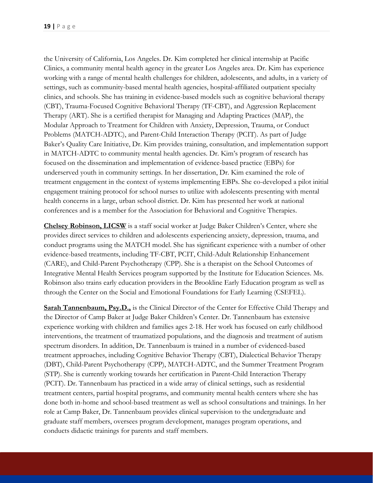the University of California, Los Angeles. Dr. Kim completed her clinical internship at Pacific Clinics, a community mental health agency in the greater Los Angeles area. Dr. Kim has experience working with a range of mental health challenges for children, adolescents, and adults, in a variety of settings, such as community-based mental health agencies, hospital-affiliated outpatient specialty clinics, and schools. She has training in evidence-based models such as cognitive behavioral therapy (CBT), Trauma-Focused Cognitive Behavioral Therapy (TF-CBT), and Aggression Replacement Therapy (ART). She is a certified therapist for Managing and Adapting Practices (MAP), the Modular Approach to Treatment for Children with Anxiety, Depression, Trauma, or Conduct Problems (MATCH-ADTC), and Parent-Child Interaction Therapy (PCIT). As part of Judge Baker's Quality Care Initiative, Dr. Kim provides training, consultation, and implementation support in MATCH-ADTC to community mental health agencies. Dr. Kim's program of research has focused on the dissemination and implementation of evidence-based practice (EBPs) for underserved youth in community settings. In her dissertation, Dr. Kim examined the role of treatment engagement in the context of systems implementing EBPs. She co-developed a pilot initial engagement training protocol for school nurses to utilize with adolescents presenting with mental health concerns in a large, urban school district. Dr. Kim has presented her work at national conferences and is a member for the Association for Behavioral and Cognitive Therapies.

**Chelsey Robinson, LICSW** is a staff social worker at Judge Baker Children's Center, where she provides direct services to children and adolescents experiencing anxiety, depression, trauma, and conduct programs using the MATCH model. She has significant experience with a number of other evidence-based treatments, including TF-CBT, PCIT, Child-Adult Relationship Enhancement (CARE), and Child-Parent Psychotherapy (CPP). She is a therapist on the School Outcomes of Integrative Mental Health Services program supported by the Institute for Education Sciences. Ms. Robinson also trains early education providers in the Brookline Early Education program as well as through the Center on the Social and Emotional Foundations for Early Learning (CSEFEL).

**Sarah Tannenbaum, Psy.D.,** is the Clinical Director of the Center for Effective Child Therapy and the Director of Camp Baker at Judge Baker Children's Center. Dr. Tannenbaum has extensive experience working with children and families ages 2-18. Her work has focused on early childhood interventions, the treatment of traumatized populations, and the diagnosis and treatment of autism spectrum disorders. In addition, Dr. Tannenbaum is trained in a number of evidenced-based treatment approaches, including Cognitive Behavior Therapy (CBT), Dialectical Behavior Therapy (DBT), Child-Parent Psychotherapy (CPP), MATCH-ADTC, and the Summer Treatment Program (STP). She is currently working towards her certification in Parent-Child Interaction Therapy (PCIT). Dr. Tannenbaum has practiced in a wide array of clinical settings, such as residential treatment centers, partial hospital programs, and community mental health centers where she has done both in-home and school-based treatment as well as school consultations and trainings. In her role at Camp Baker, Dr. Tannenbaum provides clinical supervision to the undergraduate and graduate staff members, oversees program development, manages program operations, and conducts didactic trainings for parents and staff members.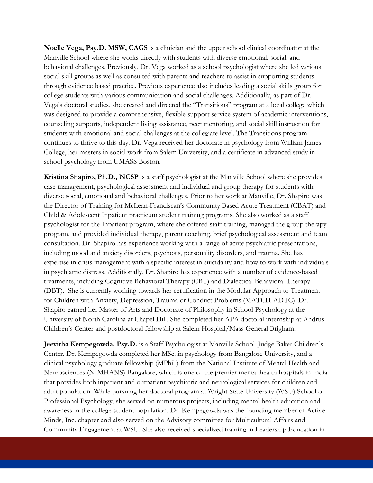**Noelle Vega, Psy.D. MSW, CAGS** is a clinician and the upper school clinical coordinator at the Manville School where she works directly with students with diverse emotional, social, and behavioral challenges. Previously, Dr. Vega worked as a school psychologist where she led various social skill groups as well as consulted with parents and teachers to assist in supporting students through evidence based practice. Previous experience also includes leading a social skills group for college students with various communication and social challenges. Additionally, as part of Dr. Vega's doctoral studies, she created and directed the "Transitions" program at a local college which was designed to provide a comprehensive, flexible support service system of academic interventions, counseling supports, independent living assistance, peer mentoring, and social skill instruction for students with emotional and social challenges at the collegiate level. The Transitions program continues to thrive to this day. Dr. Vega received her doctorate in psychology from William James College, her masters in social work from Salem University, and a certificate in advanced study in school psychology from UMASS Boston.

**Kristina Shapiro, Ph.D., NCSP** is a staff psychologist at the Manville School where she provides case management, psychological assessment and individual and group therapy for students with diverse social, emotional and behavioral challenges. Prior to her work at Manville, Dr. Shapiro was the Director of Training for McLean-Franciscan's Community Based Acute Treatment (CBAT) and Child & Adolescent Inpatient practicum student training programs. She also worked as a staff psychologist for the Inpatient program, where she offered staff training, managed the group therapy program, and provided individual therapy, parent coaching, brief psychological assessment and team consultation. Dr. Shapiro has experience working with a range of acute psychiatric presentations, including mood and anxiety disorders, psychosis, personality disorders, and trauma. She has expertise in crisis management with a specific interest in suicidality and how to work with individuals in psychiatric distress. Additionally, Dr. Shapiro has experience with a number of evidence-based treatments, including Cognitive Behavioral Therapy (CBT) and Dialectical Behavioral Therapy (DBT). She is currently working towards her certification in the Modular Approach to Treatment for Children with Anxiety, Depression, Trauma or Conduct Problems (MATCH-ADTC). Dr. Shapiro earned her Master of Arts and Doctorate of Philosophy in School Psychology at the University of North Carolina at Chapel Hill. She completed her APA doctoral internship at Andrus Children's Center and postdoctoral fellowship at Salem Hospital/Mass General Brigham.

**Jeevitha Kempegowda, Psy.D.** is a Staff Psychologist at Manville School, Judge Baker Children's Center. Dr. Kempegowda completed her MSc. in psychology from Bangalore University, and a clinical psychology graduate fellowship (MPhil.) from the National Institute of Mental Health and Neurosciences (NIMHANS) Bangalore, which is one of the premier mental health hospitals in India that provides both inpatient and outpatient psychiatric and neurological services for children and adult population. While pursuing her doctoral program at Wright State University (WSU) School of Professional Psychology, she served on numerous projects, including mental health education and awareness in the college student population. Dr. Kempegowda was the founding member of Active Minds, Inc. chapter and also served on the Advisory committee for Multicultural Affairs and Community Engagement at WSU. She also received specialized training in Leadership Education in